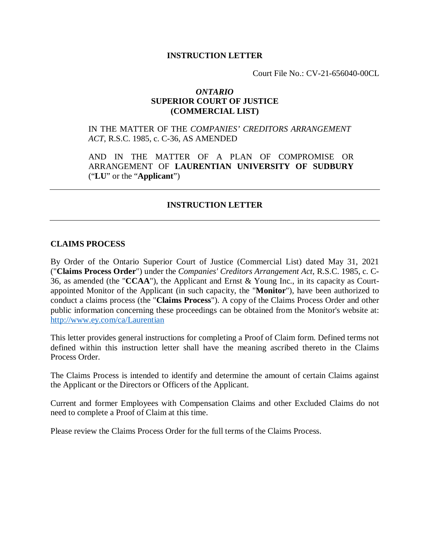### **INSTRUCTION LETTER**

Court File No.: CV-21-656040-00CL

### *ONTARIO* **SUPERIOR COURT OF JUSTICE (COMMERCIAL LIST)**

## IN THE MATTER OF THE *COMPANIES' CREDITORS ARRANGEMENT ACT*, R.S.C. 1985, c. C-36, AS AMENDED

AND IN THE MATTER OF A PLAN OF COMPROMISE OR ARRANGEMENT OF **LAURENTIAN UNIVERSITY OF SUDBURY** ("**LU**" or the "**Applicant**")

## **INSTRUCTION LETTER**

### **CLAIMS PROCESS**

By Order of the Ontario Superior Court of Justice (Commercial List) dated May 31, 2021 ("**Claims Process Order**") under the *Companies' Creditors Arrangement Act*, R.S.C. 1985, c. C-36, as amended (the "**CCAA**"), the Applicant and Ernst & Young Inc., in its capacity as Courtappointed Monitor of the Applicant (in such capacity, the "**Monitor**"), have been authorized to conduct a claims process (the "**Claims Process**"). A copy of the Claims Process Order and other public information concerning these proceedings can be obtained from the Monitor's website at: http://www.ey.com/ca/Laurentian

This letter provides general instructions for completing a Proof of Claim form. Defined terms not defined within this instruction letter shall have the meaning ascribed thereto in the Claims Process Order.

The Claims Process is intended to identify and determine the amount of certain Claims against the Applicant or the Directors or Officers of the Applicant.

Current and former Employees with Compensation Claims and other Excluded Claims do not need to complete a Proof of Claim at this time.

Please review the Claims Process Order for the full terms of the Claims Process.